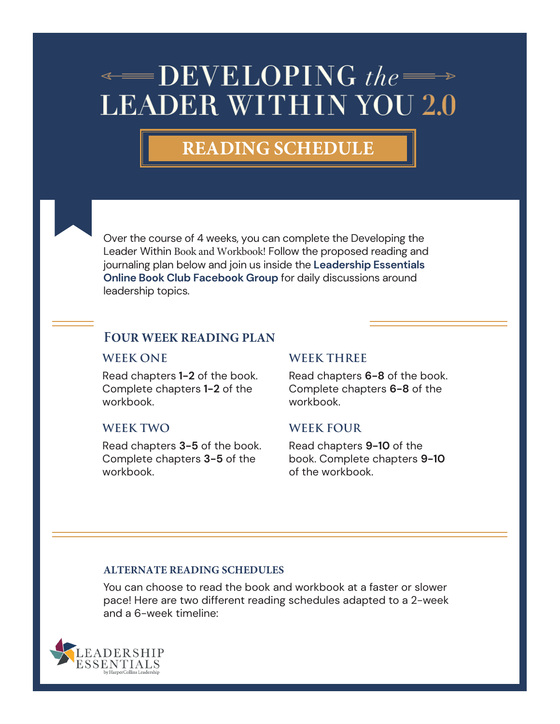# $\triangleleft$  DEVELOPING the  $\Longrightarrow$ **LEADER WITHIN YOU 2.0**

# **READING SCHEDULE**



# **FOUR WEEK READING PLAN**

#### **WEEK ONE**

Read chapters **1-2** of the book. Complete chapters **1-2** of the workbook.

#### **WEEK TWO**

Read chapters **3-5** of the book. Complete chapters **3-5** of the workbook.

#### **WEEK THREE**

Read chapters **6-8** of the book. Complete chapters **6-8** of the workbook.

#### **WEEK FOUR**

Read chapters **9-10** of the book. Complete chapters **9-10** of the workbook.

#### **ALTERNATE READING SCHEDULES**

You can choose to read the book and workbook at a faster or slower pace! Here are two different reading schedules adapted to a 2-week and a 6-week timeline:

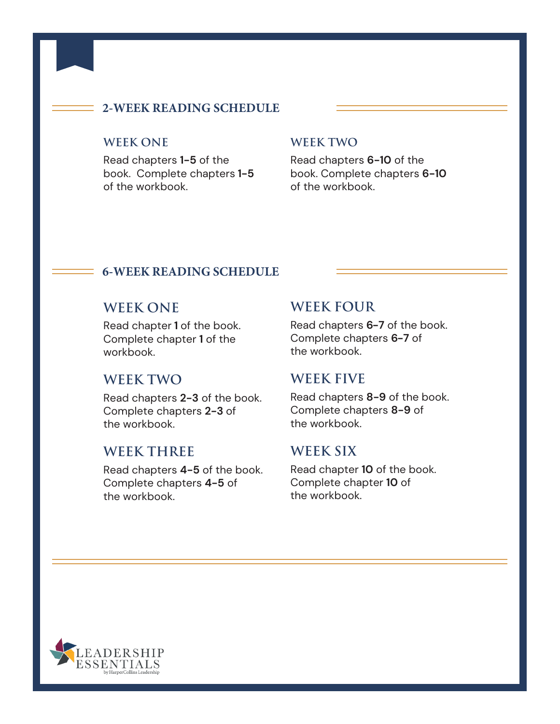## **2-WEEK READING SCHEDULE**

## **WEEK ONE**

Read chapters **1-5** of the book. Complete chapters **1-5** of the workbook.

#### **WEEK TWO**

Read chapters **6-10** of the book. Complete chapters **6-10** of the workbook.

# **6-WEEK READING SCHEDULE**

# **WEEK ONE**

Read chapter **1** of the book. Complete chapter **1** of the workbook.

# **WEEK TWO**

Read chapters **2-3** of the book. Complete chapters **2-3** of the workbook.

# **WEEK THREE**

Read chapters **4-5** of the book. Complete chapters **4-5** of the workbook.

# **WEEK FOUR**

Read chapters **6-7** of the book. Complete chapters **6-7** of the workbook.

#### **WEEK FIVE**

Read chapters **8-9** of the book. Complete chapters **8-9** of the workbook.

# **WEEK SIX**

Read chapter **10** of the book. Complete chapter **10** of the workbook.